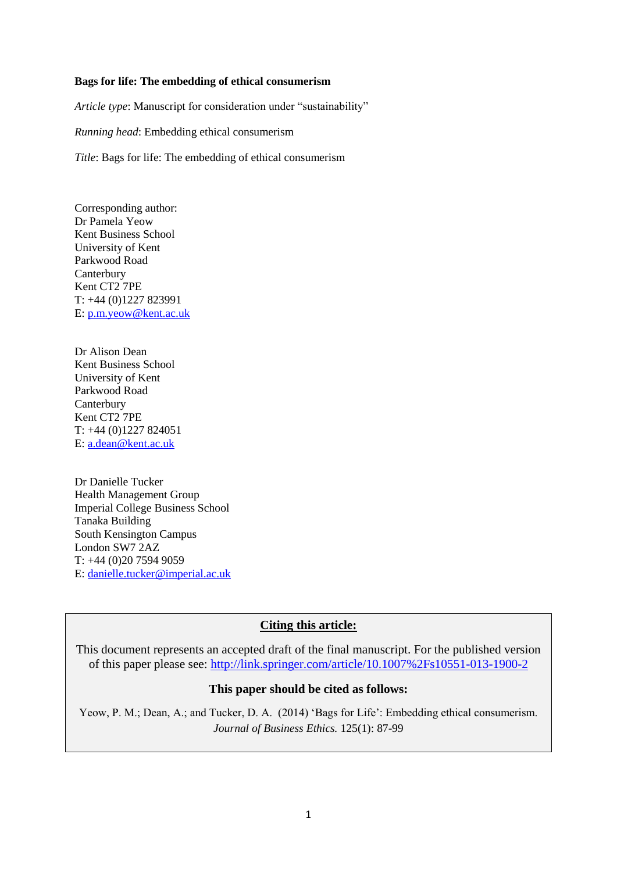## **Bags for life: The embedding of ethical consumerism**

*Article type*: Manuscript for consideration under "sustainability"

*Running head*: Embedding ethical consumerism

*Title*: Bags for life: The embedding of ethical consumerism

Corresponding author: Dr Pamela Yeow Kent Business School University of Kent Parkwood Road Canterbury Kent CT2 7PE T: +44 (0)1227 823991 E: [p.m.yeow@kent.ac.uk](mailto:p.m.yeow@kent.ac.uk)

Dr Alison Dean Kent Business School University of Kent Parkwood Road **Canterbury** Kent CT2 7PE T: +44 (0)1227 824051 E: [a.dean@kent.ac.uk](mailto:a.dean@kent.ac.uk)

Dr Danielle Tucker Health Management Group Imperial College Business School Tanaka Building South Kensington Campus London SW7 2AZ T: +44 (0)20 7594 9059 E: [danielle.tucker@imperial.ac.uk](mailto:danielle.tucker@imperial.ac.uk)

## **Citing this article:**

This document represents an accepted draft of the final manuscript. For the published version of this paper please see:<http://link.springer.com/article/10.1007%2Fs10551-013-1900-2>

## **This paper should be cited as follows:**

Yeow, P. M.; Dean, A.; and Tucker, D. A. (2014) 'Bags for Life': Embedding ethical consumerism. *Journal of Business Ethics.* 125(1): 87-99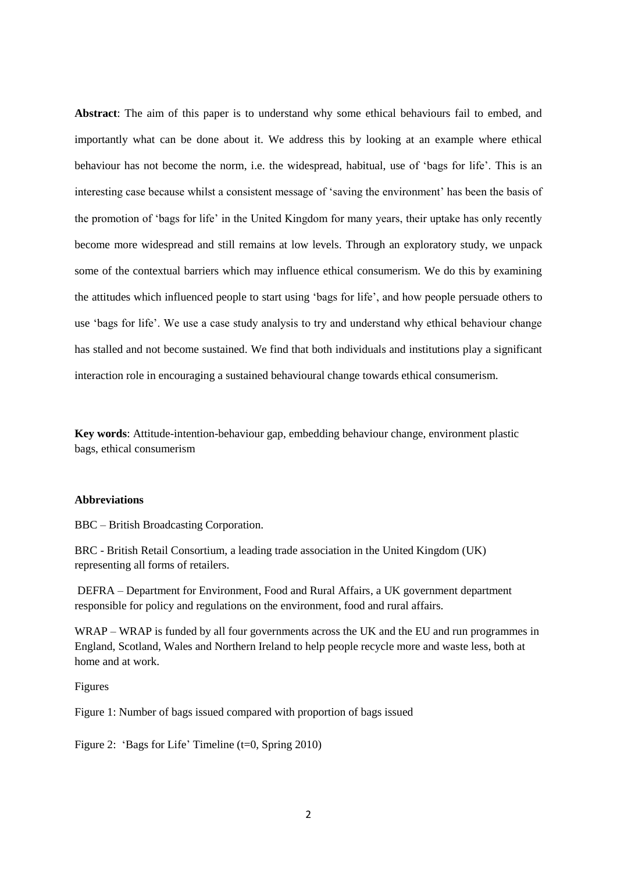**Abstract**: The aim of this paper is to understand why some ethical behaviours fail to embed, and importantly what can be done about it. We address this by looking at an example where ethical behaviour has not become the norm, i.e. the widespread, habitual, use of 'bags for life'. This is an interesting case because whilst a consistent message of 'saving the environment' has been the basis of the promotion of 'bags for life' in the United Kingdom for many years, their uptake has only recently become more widespread and still remains at low levels. Through an exploratory study, we unpack some of the contextual barriers which may influence ethical consumerism. We do this by examining the attitudes which influenced people to start using 'bags for life', and how people persuade others to use 'bags for life'. We use a case study analysis to try and understand why ethical behaviour change has stalled and not become sustained. We find that both individuals and institutions play a significant interaction role in encouraging a sustained behavioural change towards ethical consumerism.

**Key words**: Attitude-intention-behaviour gap, embedding behaviour change, environment plastic bags, ethical consumerism

#### **Abbreviations**

BBC – British Broadcasting Corporation.

BRC - British Retail Consortium, a leading trade association in the United Kingdom (UK) representing all forms of retailers.

DEFRA – Department for Environment, Food and Rural Affairs, a UK government department responsible for policy and regulations on the environment, food and rural affairs.

WRAP – WRAP is funded by all four governments across the UK and the EU and run programmes in England, Scotland, Wales and Northern Ireland to help people recycle more and waste less, both at home and at work.

## Figures

Figure 1: Number of bags issued compared with proportion of bags issued

Figure 2: 'Bags for Life' Timeline (t=0, Spring 2010)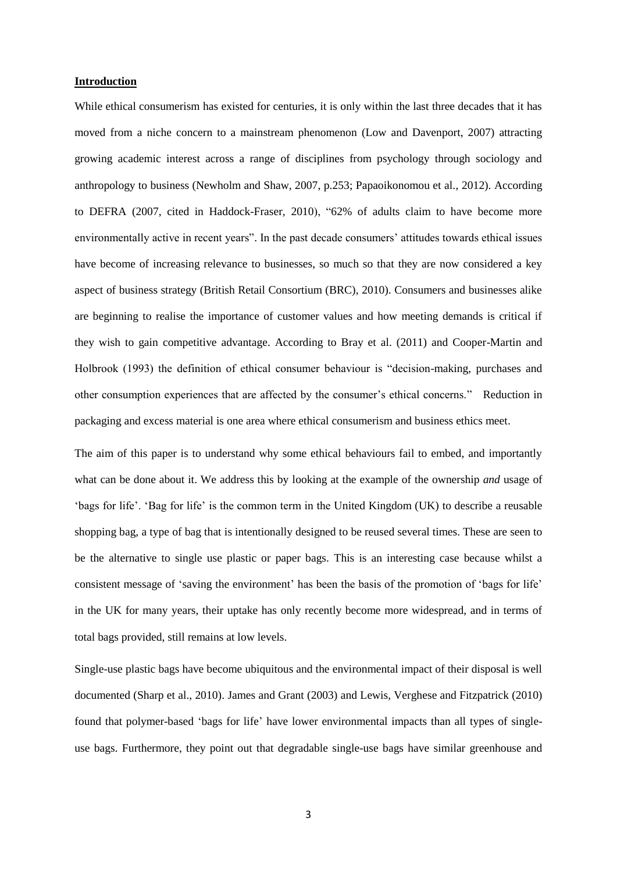#### **Introduction**

While ethical consumerism has existed for centuries, it is only within the last three decades that it has moved from a niche concern to a mainstream phenomenon (Low and Davenport, 2007) attracting growing academic interest across a range of disciplines from psychology through sociology and anthropology to business (Newholm and Shaw, 2007, p.253; Papaoikonomou et al., 2012). According to DEFRA (2007, cited in Haddock-Fraser, 2010), "62% of adults claim to have become more environmentally active in recent years". In the past decade consumers' attitudes towards ethical issues have become of increasing relevance to businesses, so much so that they are now considered a key aspect of business strategy (British Retail Consortium (BRC), 2010). Consumers and businesses alike are beginning to realise the importance of customer values and how meeting demands is critical if they wish to gain competitive advantage. According to Bray et al. (2011) and Cooper-Martin and Holbrook (1993) the definition of ethical consumer behaviour is "decision-making, purchases and other consumption experiences that are affected by the consumer's ethical concerns." Reduction in packaging and excess material is one area where ethical consumerism and business ethics meet.

The aim of this paper is to understand why some ethical behaviours fail to embed, and importantly what can be done about it. We address this by looking at the example of the ownership *and* usage of 'bags for life'. 'Bag for life' is the common term in the United Kingdom (UK) to describe a reusable shopping bag, a type of bag that is intentionally designed to be reused several times. These are seen to be the alternative to single use plastic or paper bags. This is an interesting case because whilst a consistent message of 'saving the environment' has been the basis of the promotion of 'bags for life' in the UK for many years, their uptake has only recently become more widespread, and in terms of total bags provided, still remains at low levels.

Single-use plastic bags have become ubiquitous and the environmental impact of their disposal is well documented (Sharp et al., 2010). James and Grant (2003) and Lewis, Verghese and Fitzpatrick (2010) found that polymer-based 'bags for life' have lower environmental impacts than all types of singleuse bags. Furthermore, they point out that degradable single-use bags have similar greenhouse and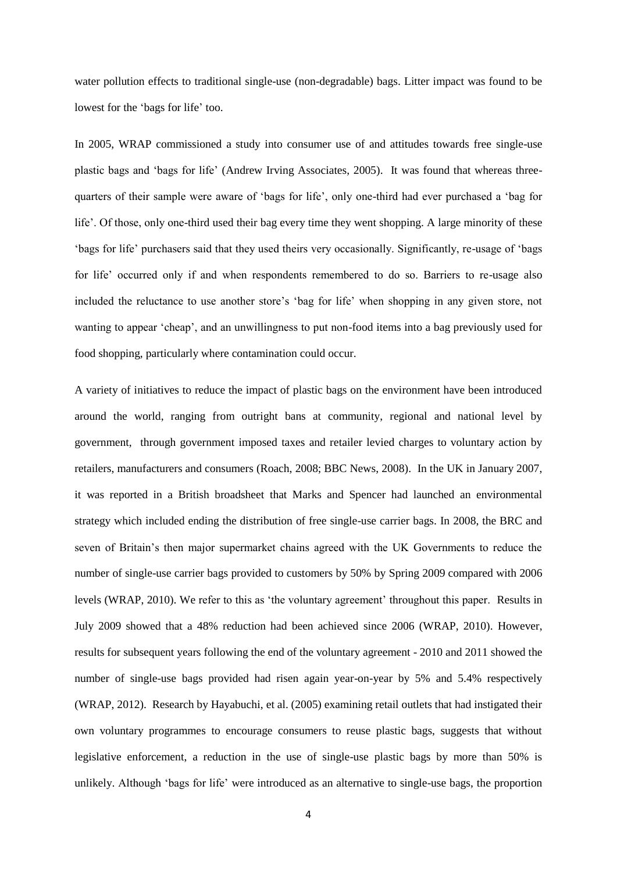water pollution effects to traditional single-use (non-degradable) bags. Litter impact was found to be lowest for the 'bags for life' too.

In 2005, WRAP commissioned a study into consumer use of and attitudes towards free single-use plastic bags and 'bags for life' (Andrew Irving Associates, 2005). It was found that whereas threequarters of their sample were aware of 'bags for life', only one-third had ever purchased a 'bag for life'. Of those, only one-third used their bag every time they went shopping. A large minority of these 'bags for life' purchasers said that they used theirs very occasionally. Significantly, re-usage of 'bags for life' occurred only if and when respondents remembered to do so. Barriers to re-usage also included the reluctance to use another store's 'bag for life' when shopping in any given store, not wanting to appear 'cheap', and an unwillingness to put non-food items into a bag previously used for food shopping, particularly where contamination could occur.

A variety of initiatives to reduce the impact of plastic bags on the environment have been introduced around the world, ranging from outright bans at community, regional and national level by government, through government imposed taxes and retailer levied charges to voluntary action by retailers, manufacturers and consumers (Roach, 2008; BBC News, 2008). In the UK in January 2007, it was reported in a British broadsheet that Marks and Spencer had launched an environmental strategy which included ending the distribution of free single-use carrier bags. In 2008, the BRC and seven of Britain's then major supermarket chains agreed with the UK Governments to reduce the number of single-use carrier bags provided to customers by 50% by Spring 2009 compared with 2006 levels (WRAP, 2010). We refer to this as 'the voluntary agreement' throughout this paper. Results in July 2009 showed that a 48% reduction had been achieved since 2006 (WRAP, 2010). However, results for subsequent years following the end of the voluntary agreement - 2010 and 2011 showed the number of single-use bags provided had risen again year-on-year by 5% and 5.4% respectively (WRAP, 2012). Research by Hayabuchi, et al. (2005) examining retail outlets that had instigated their own voluntary programmes to encourage consumers to reuse plastic bags, suggests that without legislative enforcement, a reduction in the use of single-use plastic bags by more than 50% is unlikely. Although 'bags for life' were introduced as an alternative to single-use bags, the proportion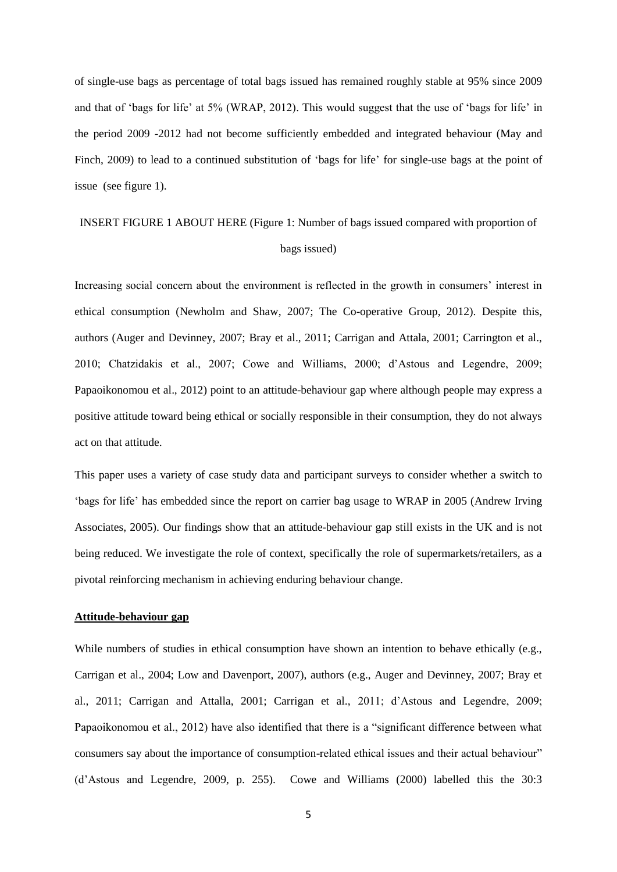of single-use bags as percentage of total bags issued has remained roughly stable at 95% since 2009 and that of 'bags for life' at 5% (WRAP, 2012). This would suggest that the use of 'bags for life' in the period 2009 -2012 had not become sufficiently embedded and integrated behaviour (May and Finch, 2009) to lead to a continued substitution of 'bags for life' for single-use bags at the point of issue (see figure 1).

# INSERT FIGURE 1 ABOUT HERE (Figure 1: Number of bags issued compared with proportion of bags issued)

Increasing social concern about the environment is reflected in the growth in consumers' interest in ethical consumption (Newholm and Shaw, 2007; The Co-operative Group, 2012). Despite this, authors (Auger and Devinney, 2007; Bray et al., 2011; Carrigan and Attala, 2001; Carrington et al., 2010; Chatzidakis et al., 2007; Cowe and Williams, 2000; d'Astous and Legendre, 2009; Papaoikonomou et al., 2012) point to an attitude-behaviour gap where although people may express a positive attitude toward being ethical or socially responsible in their consumption, they do not always act on that attitude.

This paper uses a variety of case study data and participant surveys to consider whether a switch to 'bags for life' has embedded since the report on carrier bag usage to WRAP in 2005 (Andrew Irving Associates, 2005). Our findings show that an attitude-behaviour gap still exists in the UK and is not being reduced. We investigate the role of context, specifically the role of supermarkets/retailers, as a pivotal reinforcing mechanism in achieving enduring behaviour change.

## **Attitude-behaviour gap**

While numbers of studies in ethical consumption have shown an intention to behave ethically (e.g., Carrigan et al., 2004; Low and Davenport, 2007), authors (e.g., Auger and Devinney, 2007; Bray et al., 2011; Carrigan and Attalla, 2001; Carrigan et al., 2011; d'Astous and Legendre, 2009; Papaoikonomou et al., 2012) have also identified that there is a "significant difference between what consumers say about the importance of consumption-related ethical issues and their actual behaviour" (d'Astous and Legendre, 2009, p. 255). Cowe and Williams (2000) labelled this the 30:3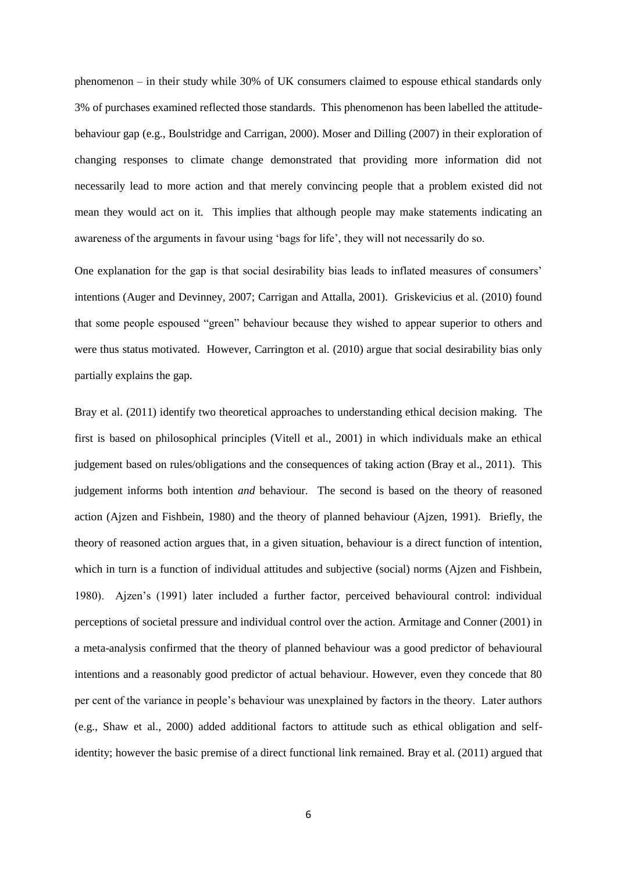phenomenon – in their study while 30% of UK consumers claimed to espouse ethical standards only 3% of purchases examined reflected those standards. This phenomenon has been labelled the attitudebehaviour gap (e.g., Boulstridge and Carrigan, 2000). Moser and Dilling (2007) in their exploration of changing responses to climate change demonstrated that providing more information did not necessarily lead to more action and that merely convincing people that a problem existed did not mean they would act on it. This implies that although people may make statements indicating an awareness of the arguments in favour using 'bags for life', they will not necessarily do so.

One explanation for the gap is that social desirability bias leads to inflated measures of consumers' intentions (Auger and Devinney, 2007; Carrigan and Attalla, 2001). Griskevicius et al. (2010) found that some people espoused "green" behaviour because they wished to appear superior to others and were thus status motivated. However, Carrington et al. (2010) argue that social desirability bias only partially explains the gap.

Bray et al. (2011) identify two theoretical approaches to understanding ethical decision making. The first is based on philosophical principles (Vitell et al., 2001) in which individuals make an ethical judgement based on rules/obligations and the consequences of taking action (Bray et al., 2011). This judgement informs both intention *and* behaviour. The second is based on the theory of reasoned action (Ajzen and Fishbein, 1980) and the theory of planned behaviour (Ajzen, 1991). Briefly, the theory of reasoned action argues that, in a given situation, behaviour is a direct function of intention, which in turn is a function of individual attitudes and subjective (social) norms (Ajzen and Fishbein, 1980). Ajzen's (1991) later included a further factor, perceived behavioural control: individual perceptions of societal pressure and individual control over the action. Armitage and Conner (2001) in a meta-analysis confirmed that the theory of planned behaviour was a good predictor of behavioural intentions and a reasonably good predictor of actual behaviour. However, even they concede that 80 per cent of the variance in people's behaviour was unexplained by factors in the theory. Later authors (e.g., Shaw et al., 2000) added additional factors to attitude such as ethical obligation and selfidentity; however the basic premise of a direct functional link remained. Bray et al. (2011) argued that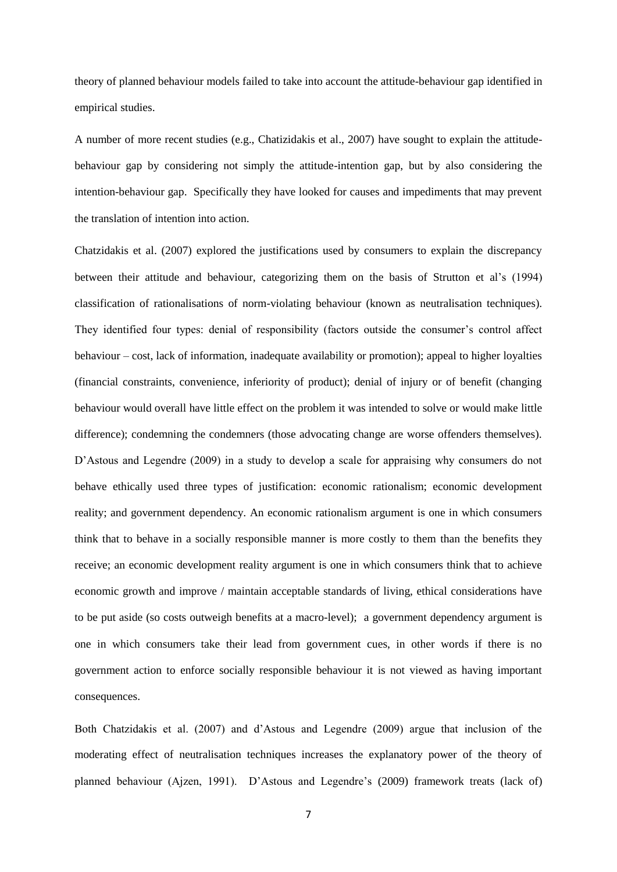theory of planned behaviour models failed to take into account the attitude-behaviour gap identified in empirical studies.

A number of more recent studies (e.g., Chatizidakis et al., 2007) have sought to explain the attitudebehaviour gap by considering not simply the attitude-intention gap, but by also considering the intention-behaviour gap. Specifically they have looked for causes and impediments that may prevent the translation of intention into action.

Chatzidakis et al. (2007) explored the justifications used by consumers to explain the discrepancy between their attitude and behaviour, categorizing them on the basis of Strutton et al's (1994) classification of rationalisations of norm-violating behaviour (known as neutralisation techniques). They identified four types: denial of responsibility (factors outside the consumer's control affect behaviour – cost, lack of information, inadequate availability or promotion); appeal to higher loyalties (financial constraints, convenience, inferiority of product); denial of injury or of benefit (changing behaviour would overall have little effect on the problem it was intended to solve or would make little difference); condemning the condemners (those advocating change are worse offenders themselves). D'Astous and Legendre (2009) in a study to develop a scale for appraising why consumers do not behave ethically used three types of justification: economic rationalism; economic development reality; and government dependency. An economic rationalism argument is one in which consumers think that to behave in a socially responsible manner is more costly to them than the benefits they receive; an economic development reality argument is one in which consumers think that to achieve economic growth and improve / maintain acceptable standards of living, ethical considerations have to be put aside (so costs outweigh benefits at a macro-level); a government dependency argument is one in which consumers take their lead from government cues, in other words if there is no government action to enforce socially responsible behaviour it is not viewed as having important consequences.

Both Chatzidakis et al. (2007) and d'Astous and Legendre (2009) argue that inclusion of the moderating effect of neutralisation techniques increases the explanatory power of the theory of planned behaviour (Ajzen, 1991). D'Astous and Legendre's (2009) framework treats (lack of)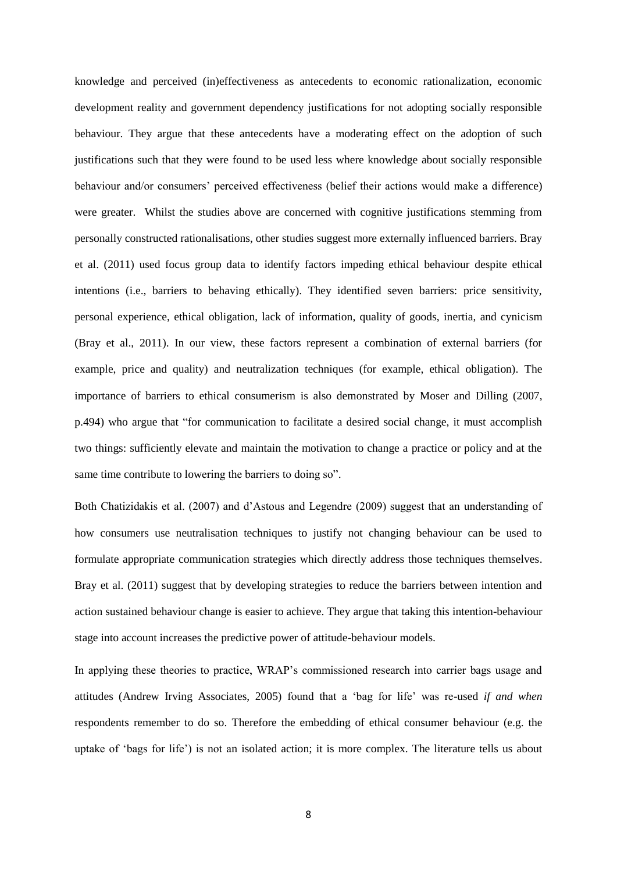knowledge and perceived (in)effectiveness as antecedents to economic rationalization, economic development reality and government dependency justifications for not adopting socially responsible behaviour. They argue that these antecedents have a moderating effect on the adoption of such justifications such that they were found to be used less where knowledge about socially responsible behaviour and/or consumers' perceived effectiveness (belief their actions would make a difference) were greater. Whilst the studies above are concerned with cognitive justifications stemming from personally constructed rationalisations, other studies suggest more externally influenced barriers. Bray et al. (2011) used focus group data to identify factors impeding ethical behaviour despite ethical intentions (i.e., barriers to behaving ethically). They identified seven barriers: price sensitivity, personal experience, ethical obligation, lack of information, quality of goods, inertia, and cynicism (Bray et al., 2011). In our view, these factors represent a combination of external barriers (for example, price and quality) and neutralization techniques (for example, ethical obligation). The importance of barriers to ethical consumerism is also demonstrated by Moser and Dilling (2007, p.494) who argue that "for communication to facilitate a desired social change, it must accomplish two things: sufficiently elevate and maintain the motivation to change a practice or policy and at the same time contribute to lowering the barriers to doing so".

Both Chatizidakis et al. (2007) and d'Astous and Legendre (2009) suggest that an understanding of how consumers use neutralisation techniques to justify not changing behaviour can be used to formulate appropriate communication strategies which directly address those techniques themselves. Bray et al. (2011) suggest that by developing strategies to reduce the barriers between intention and action sustained behaviour change is easier to achieve. They argue that taking this intention-behaviour stage into account increases the predictive power of attitude-behaviour models.

In applying these theories to practice, WRAP's commissioned research into carrier bags usage and attitudes (Andrew Irving Associates, 2005) found that a 'bag for life' was re-used *if and when* respondents remember to do so. Therefore the embedding of ethical consumer behaviour (e.g. the uptake of 'bags for life') is not an isolated action; it is more complex. The literature tells us about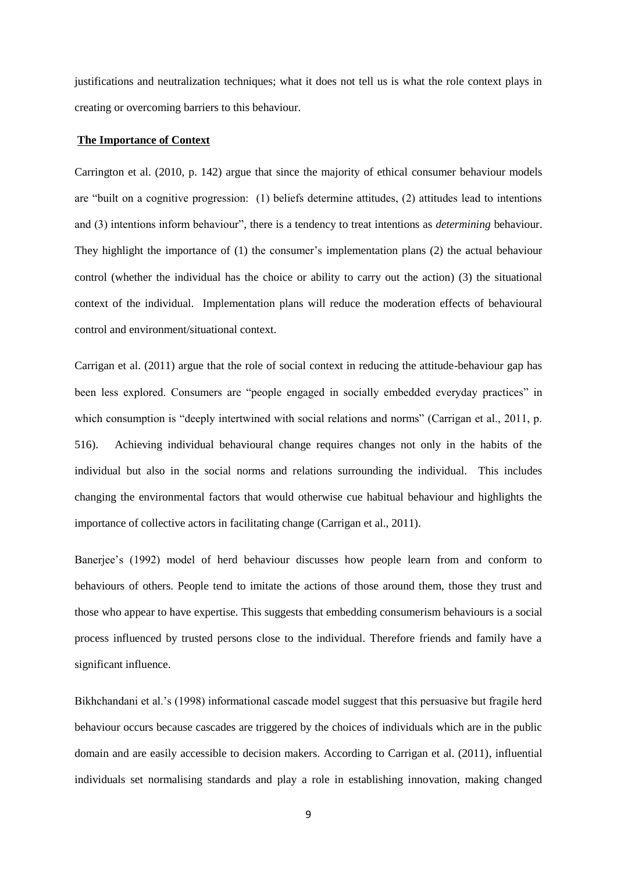justifications and neutralization techniques; what it does not tell us is what the role context plays in creating or overcoming barriers to this behaviour.

#### **The Importance of Context**

Carrington et al. (2010, p. 142) argue that since the majority of ethical consumer behaviour models are "built on a cognitive progression: (1) beliefs determine attitudes, (2) attitudes lead to intentions and (3) intentions inform behaviour", there is a tendency to treat intentions as *determining* behaviour. They highlight the importance of (1) the consumer's implementation plans (2) the actual behaviour control (whether the individual has the choice or ability to carry out the action) (3) the situational context of the individual. Implementation plans will reduce the moderation effects of behavioural control and environment/situational context.

Carrigan et al. (2011) argue that the role of social context in reducing the attitude-behaviour gap has been less explored. Consumers are "people engaged in socially embedded everyday practices" in which consumption is "deeply intertwined with social relations and norms" (Carrigan et al., 2011, p. 516). Achieving individual behavioural change requires changes not only in the habits of the individual but also in the social norms and relations surrounding the individual. This includes changing the environmental factors that would otherwise cue habitual behaviour and highlights the importance of collective actors in facilitating change (Carrigan et al., 2011).

Banerjee's (1992) model of herd behaviour discusses how people learn from and conform to behaviours of others. People tend to imitate the actions of those around them, those they trust and those who appear to have expertise. This suggests that embedding consumerism behaviours is a social process influenced by trusted persons close to the individual. Therefore friends and family have a significant influence.

Bikhchandani et al.'s (1998) informational cascade model suggest that this persuasive but fragile herd behaviour occurs because cascades are triggered by the choices of individuals which are in the public domain and are easily accessible to decision makers. According to Carrigan et al. (2011), influential individuals set normalising standards and play a role in establishing innovation, making changed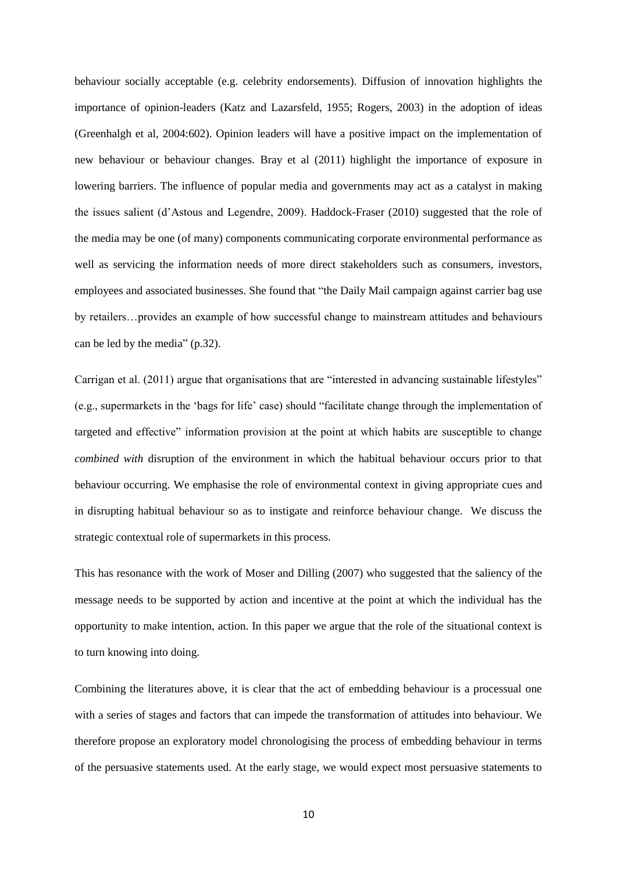behaviour socially acceptable (e.g. celebrity endorsements). Diffusion of innovation highlights the importance of opinion-leaders (Katz and Lazarsfeld, 1955; Rogers, 2003) in the adoption of ideas (Greenhalgh et al, 2004:602). Opinion leaders will have a positive impact on the implementation of new behaviour or behaviour changes. Bray et al (2011) highlight the importance of exposure in lowering barriers. The influence of popular media and governments may act as a catalyst in making the issues salient (d'Astous and Legendre, 2009). Haddock-Fraser (2010) suggested that the role of the media may be one (of many) components communicating corporate environmental performance as well as servicing the information needs of more direct stakeholders such as consumers, investors, employees and associated businesses. She found that "the Daily Mail campaign against carrier bag use by retailers…provides an example of how successful change to mainstream attitudes and behaviours can be led by the media" (p.32).

Carrigan et al. (2011) argue that organisations that are "interested in advancing sustainable lifestyles" (e.g., supermarkets in the 'bags for life' case) should "facilitate change through the implementation of targeted and effective" information provision at the point at which habits are susceptible to change *combined with* disruption of the environment in which the habitual behaviour occurs prior to that behaviour occurring. We emphasise the role of environmental context in giving appropriate cues and in disrupting habitual behaviour so as to instigate and reinforce behaviour change. We discuss the strategic contextual role of supermarkets in this process.

This has resonance with the work of Moser and Dilling (2007) who suggested that the saliency of the message needs to be supported by action and incentive at the point at which the individual has the opportunity to make intention, action. In this paper we argue that the role of the situational context is to turn knowing into doing.

Combining the literatures above, it is clear that the act of embedding behaviour is a processual one with a series of stages and factors that can impede the transformation of attitudes into behaviour. We therefore propose an exploratory model chronologising the process of embedding behaviour in terms of the persuasive statements used. At the early stage, we would expect most persuasive statements to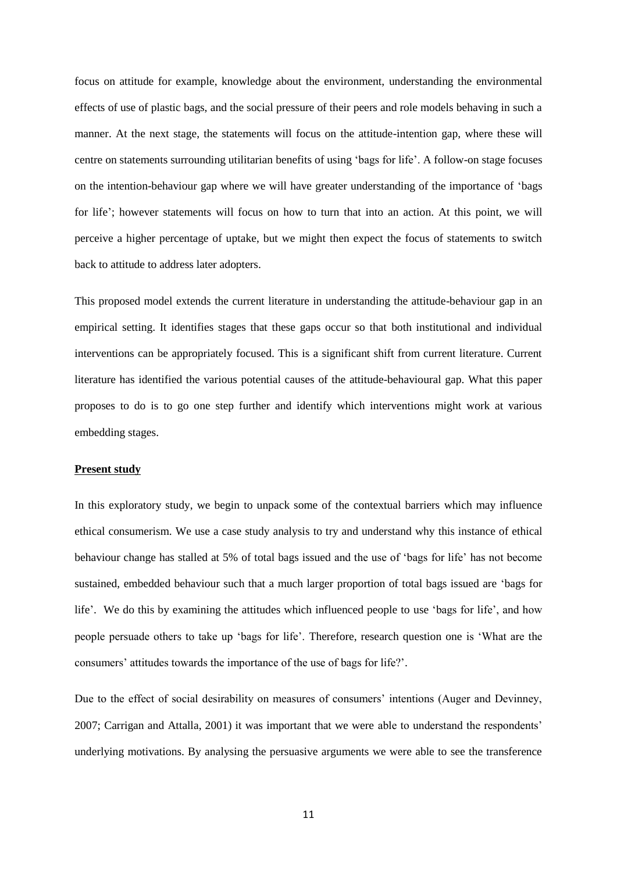focus on attitude for example, knowledge about the environment, understanding the environmental effects of use of plastic bags, and the social pressure of their peers and role models behaving in such a manner. At the next stage, the statements will focus on the attitude-intention gap, where these will centre on statements surrounding utilitarian benefits of using 'bags for life'. A follow-on stage focuses on the intention-behaviour gap where we will have greater understanding of the importance of 'bags for life'; however statements will focus on how to turn that into an action. At this point, we will perceive a higher percentage of uptake, but we might then expect the focus of statements to switch back to attitude to address later adopters.

This proposed model extends the current literature in understanding the attitude-behaviour gap in an empirical setting. It identifies stages that these gaps occur so that both institutional and individual interventions can be appropriately focused. This is a significant shift from current literature. Current literature has identified the various potential causes of the attitude-behavioural gap. What this paper proposes to do is to go one step further and identify which interventions might work at various embedding stages.

## **Present study**

In this exploratory study, we begin to unpack some of the contextual barriers which may influence ethical consumerism. We use a case study analysis to try and understand why this instance of ethical behaviour change has stalled at 5% of total bags issued and the use of 'bags for life' has not become sustained, embedded behaviour such that a much larger proportion of total bags issued are 'bags for life'. We do this by examining the attitudes which influenced people to use 'bags for life', and how people persuade others to take up 'bags for life'. Therefore, research question one is 'What are the consumers' attitudes towards the importance of the use of bags for life?'.

Due to the effect of social desirability on measures of consumers' intentions (Auger and Devinney, 2007; Carrigan and Attalla, 2001) it was important that we were able to understand the respondents' underlying motivations. By analysing the persuasive arguments we were able to see the transference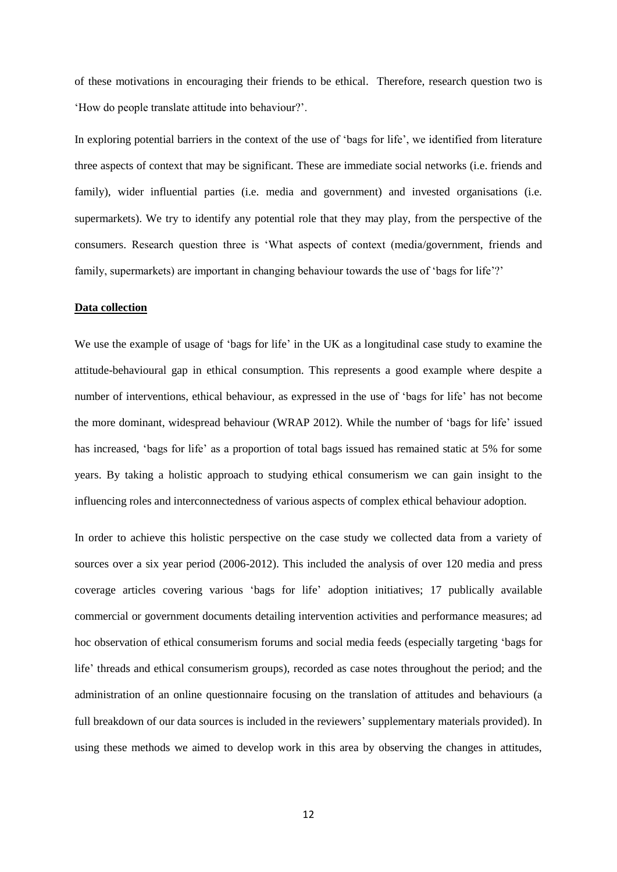of these motivations in encouraging their friends to be ethical. Therefore, research question two is 'How do people translate attitude into behaviour?'.

In exploring potential barriers in the context of the use of 'bags for life', we identified from literature three aspects of context that may be significant. These are immediate social networks (i.e. friends and family), wider influential parties (i.e. media and government) and invested organisations (i.e. supermarkets). We try to identify any potential role that they may play, from the perspective of the consumers. Research question three is 'What aspects of context (media/government, friends and family, supermarkets) are important in changing behaviour towards the use of 'bags for life'?'

#### **Data collection**

We use the example of usage of 'bags for life' in the UK as a longitudinal case study to examine the attitude-behavioural gap in ethical consumption. This represents a good example where despite a number of interventions, ethical behaviour, as expressed in the use of 'bags for life' has not become the more dominant, widespread behaviour (WRAP 2012). While the number of 'bags for life' issued has increased, 'bags for life' as a proportion of total bags issued has remained static at 5% for some years. By taking a holistic approach to studying ethical consumerism we can gain insight to the influencing roles and interconnectedness of various aspects of complex ethical behaviour adoption.

In order to achieve this holistic perspective on the case study we collected data from a variety of sources over a six year period (2006-2012). This included the analysis of over 120 media and press coverage articles covering various 'bags for life' adoption initiatives; 17 publically available commercial or government documents detailing intervention activities and performance measures; ad hoc observation of ethical consumerism forums and social media feeds (especially targeting 'bags for life' threads and ethical consumerism groups), recorded as case notes throughout the period; and the administration of an online questionnaire focusing on the translation of attitudes and behaviours (a full breakdown of our data sources is included in the reviewers' supplementary materials provided). In using these methods we aimed to develop work in this area by observing the changes in attitudes,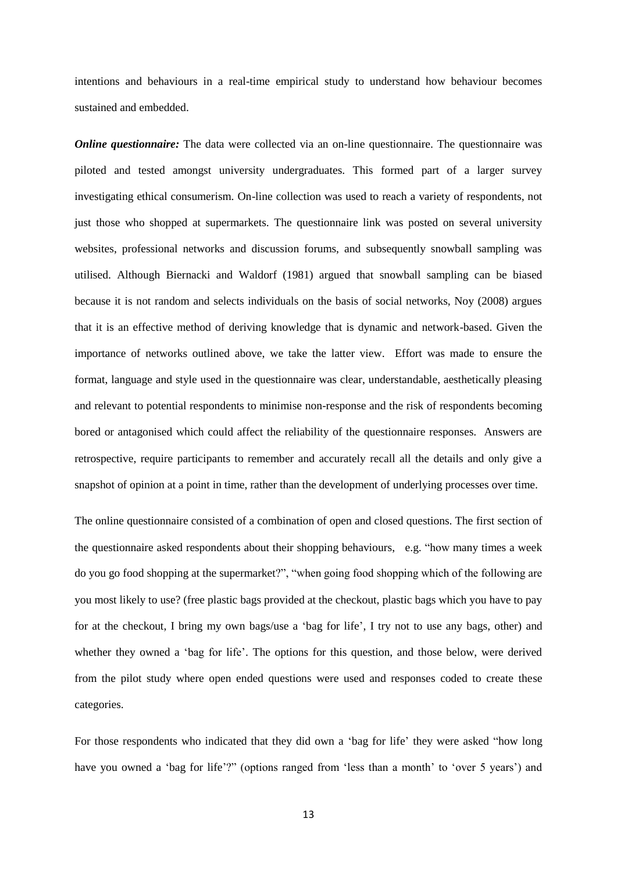intentions and behaviours in a real-time empirical study to understand how behaviour becomes sustained and embedded.

*Online questionnaire:* The data were collected via an on-line questionnaire. The questionnaire was piloted and tested amongst university undergraduates. This formed part of a larger survey investigating ethical consumerism. On-line collection was used to reach a variety of respondents, not just those who shopped at supermarkets. The questionnaire link was posted on several university websites, professional networks and discussion forums, and subsequently snowball sampling was utilised. Although Biernacki and Waldorf (1981) argued that snowball sampling can be biased because it is not random and selects individuals on the basis of social networks, Noy (2008) argues that it is an effective method of deriving knowledge that is dynamic and network-based. Given the importance of networks outlined above, we take the latter view. Effort was made to ensure the format, language and style used in the questionnaire was clear, understandable, aesthetically pleasing and relevant to potential respondents to minimise non-response and the risk of respondents becoming bored or antagonised which could affect the reliability of the questionnaire responses. Answers are retrospective, require participants to remember and accurately recall all the details and only give a snapshot of opinion at a point in time, rather than the development of underlying processes over time.

The online questionnaire consisted of a combination of open and closed questions. The first section of the questionnaire asked respondents about their shopping behaviours, e.g. "how many times a week do you go food shopping at the supermarket?", "when going food shopping which of the following are you most likely to use? (free plastic bags provided at the checkout, plastic bags which you have to pay for at the checkout, I bring my own bags/use a 'bag for life', I try not to use any bags, other) and whether they owned a 'bag for life'. The options for this question, and those below, were derived from the pilot study where open ended questions were used and responses coded to create these categories.

For those respondents who indicated that they did own a 'bag for life' they were asked "how long have you owned a 'bag for life'?" (options ranged from 'less than a month' to 'over 5 years') and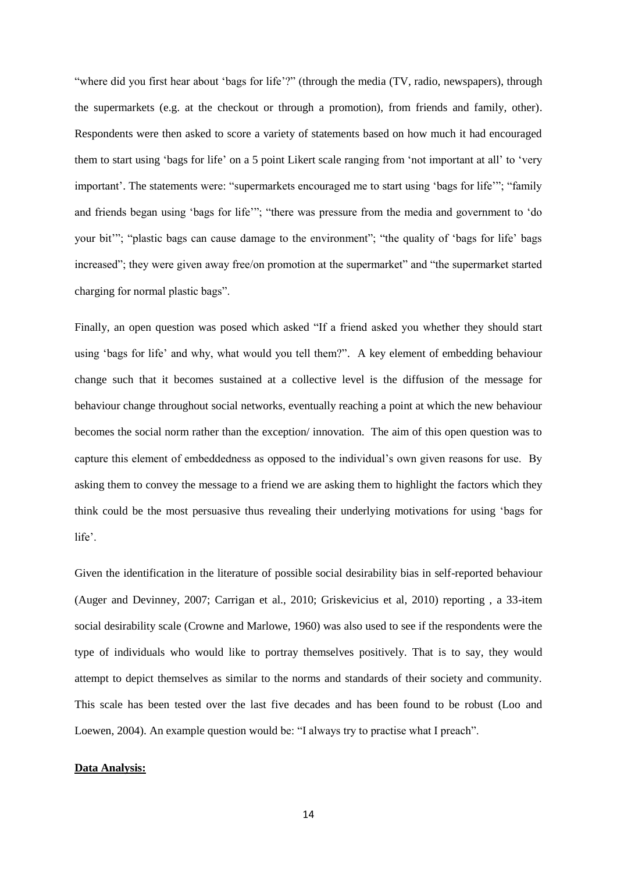"where did you first hear about 'bags for life'?" (through the media (TV, radio, newspapers), through the supermarkets (e.g. at the checkout or through a promotion), from friends and family, other). Respondents were then asked to score a variety of statements based on how much it had encouraged them to start using 'bags for life' on a 5 point Likert scale ranging from 'not important at all' to 'very important'. The statements were: "supermarkets encouraged me to start using 'bags for life'"; "family and friends began using 'bags for life'"; "there was pressure from the media and government to 'do your bit'"; "plastic bags can cause damage to the environment"; "the quality of 'bags for life' bags increased"; they were given away free/on promotion at the supermarket" and "the supermarket started charging for normal plastic bags".

Finally, an open question was posed which asked "If a friend asked you whether they should start using 'bags for life' and why, what would you tell them?". A key element of embedding behaviour change such that it becomes sustained at a collective level is the diffusion of the message for behaviour change throughout social networks, eventually reaching a point at which the new behaviour becomes the social norm rather than the exception/ innovation. The aim of this open question was to capture this element of embeddedness as opposed to the individual's own given reasons for use. By asking them to convey the message to a friend we are asking them to highlight the factors which they think could be the most persuasive thus revealing their underlying motivations for using 'bags for life'.

Given the identification in the literature of possible social desirability bias in self-reported behaviour (Auger and Devinney, 2007; Carrigan et al., 2010; Griskevicius et al, 2010) reporting , a 33-item social desirability scale (Crowne and Marlowe, 1960) was also used to see if the respondents were the type of individuals who would like to portray themselves positively. That is to say, they would attempt to depict themselves as similar to the norms and standards of their society and community. This scale has been tested over the last five decades and has been found to be robust (Loo and Loewen, 2004). An example question would be: "I always try to practise what I preach".

## **Data Analysis:**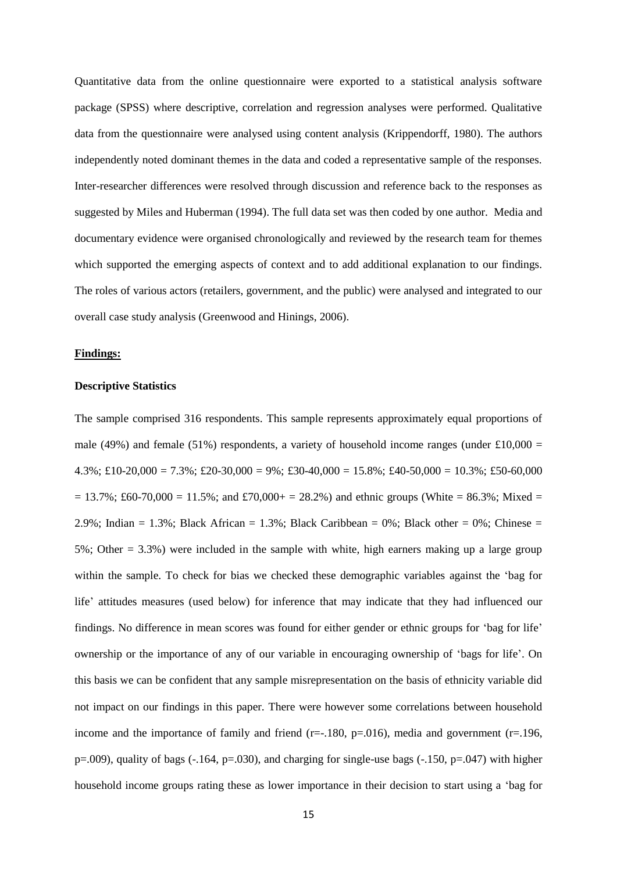Quantitative data from the online questionnaire were exported to a statistical analysis software package (SPSS) where descriptive, correlation and regression analyses were performed. Qualitative data from the questionnaire were analysed using content analysis (Krippendorff, 1980). The authors independently noted dominant themes in the data and coded a representative sample of the responses. Inter-researcher differences were resolved through discussion and reference back to the responses as suggested by Miles and Huberman (1994). The full data set was then coded by one author. Media and documentary evidence were organised chronologically and reviewed by the research team for themes which supported the emerging aspects of context and to add additional explanation to our findings. The roles of various actors (retailers, government, and the public) were analysed and integrated to our overall case study analysis (Greenwood and Hinings, 2006).

## **Findings:**

#### **Descriptive Statistics**

The sample comprised 316 respondents. This sample represents approximately equal proportions of male (49%) and female (51%) respondents, a variety of household income ranges (under £10,000 =  $4.3\%$ ; £10-20,000 = 7.3%; £20-30,000 = 9%; £30-40,000 = 15.8%; £40-50,000 = 10.3%; £50-60,000  $= 13.7\%$ ; £60-70,000 = 11.5%; and £70,000+ = 28.2%) and ethnic groups (White = 86.3%; Mixed = 2.9%; Indian = 1.3%; Black African = 1.3%; Black Caribbean = 0%; Black other = 0%; Chinese = 5%; Other = 3.3%) were included in the sample with white, high earners making up a large group within the sample. To check for bias we checked these demographic variables against the 'bag for life' attitudes measures (used below) for inference that may indicate that they had influenced our findings. No difference in mean scores was found for either gender or ethnic groups for 'bag for life' ownership or the importance of any of our variable in encouraging ownership of 'bags for life'. On this basis we can be confident that any sample misrepresentation on the basis of ethnicity variable did not impact on our findings in this paper. There were however some correlations between household income and the importance of family and friend ( $r=-180$ ,  $p=016$ ), media and government ( $r=196$ ,  $p=0.009$ ), quality of bags (-.164,  $p=.030$ ), and charging for single-use bags (-.150,  $p=.047$ ) with higher household income groups rating these as lower importance in their decision to start using a 'bag for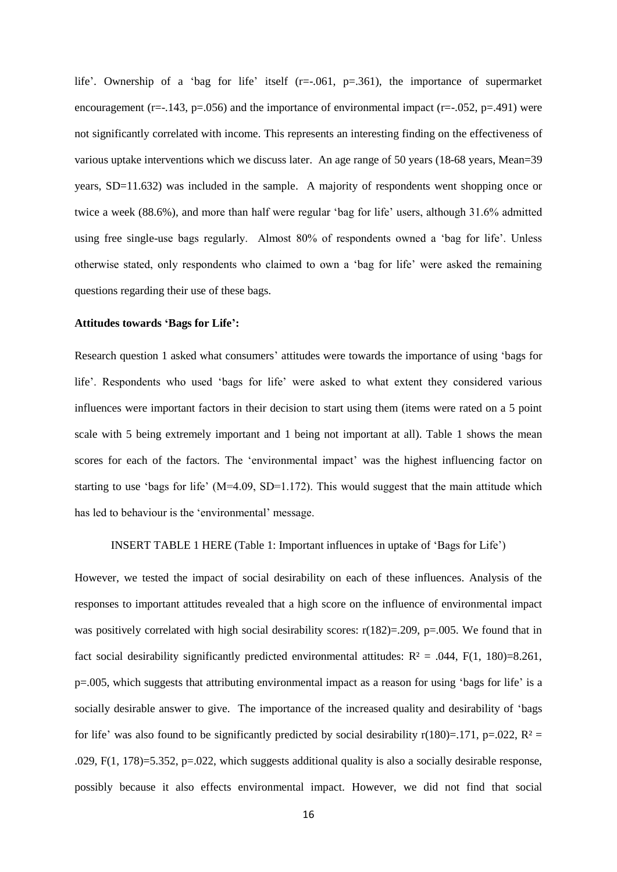life'. Ownership of a 'bag for life' itself (r=-.061, p=.361), the importance of supermarket encouragement (r=-.143, p=.056) and the importance of environmental impact (r=-.052, p=.491) were not significantly correlated with income. This represents an interesting finding on the effectiveness of various uptake interventions which we discuss later. An age range of 50 years (18-68 years, Mean=39 years, SD=11.632) was included in the sample. A majority of respondents went shopping once or twice a week (88.6%), and more than half were regular 'bag for life' users, although 31.6% admitted using free single-use bags regularly. Almost 80% of respondents owned a 'bag for life'. Unless otherwise stated, only respondents who claimed to own a 'bag for life' were asked the remaining questions regarding their use of these bags.

#### **Attitudes towards 'Bags for Life':**

Research question 1 asked what consumers' attitudes were towards the importance of using 'bags for life'. Respondents who used 'bags for life' were asked to what extent they considered various influences were important factors in their decision to start using them (items were rated on a 5 point scale with 5 being extremely important and 1 being not important at all). Table 1 shows the mean scores for each of the factors. The 'environmental impact' was the highest influencing factor on starting to use 'bags for life' (M=4.09, SD=1.172). This would suggest that the main attitude which has led to behaviour is the 'environmental' message.

INSERT TABLE 1 HERE (Table 1: Important influences in uptake of 'Bags for Life')

However, we tested the impact of social desirability on each of these influences. Analysis of the responses to important attitudes revealed that a high score on the influence of environmental impact was positively correlated with high social desirability scores:  $r(182)=0.209$ ,  $p=.005$ . We found that in fact social desirability significantly predicted environmental attitudes:  $R^2 = .044$ ,  $F(1, 180) = 8.261$ , p=.005, which suggests that attributing environmental impact as a reason for using 'bags for life' is a socially desirable answer to give. The importance of the increased quality and desirability of 'bags for life' was also found to be significantly predicted by social desirability r(180)=.171, p=.022,  $R^2$  = .029, F(1, 178)=5.352, p=.022, which suggests additional quality is also a socially desirable response, possibly because it also effects environmental impact. However, we did not find that social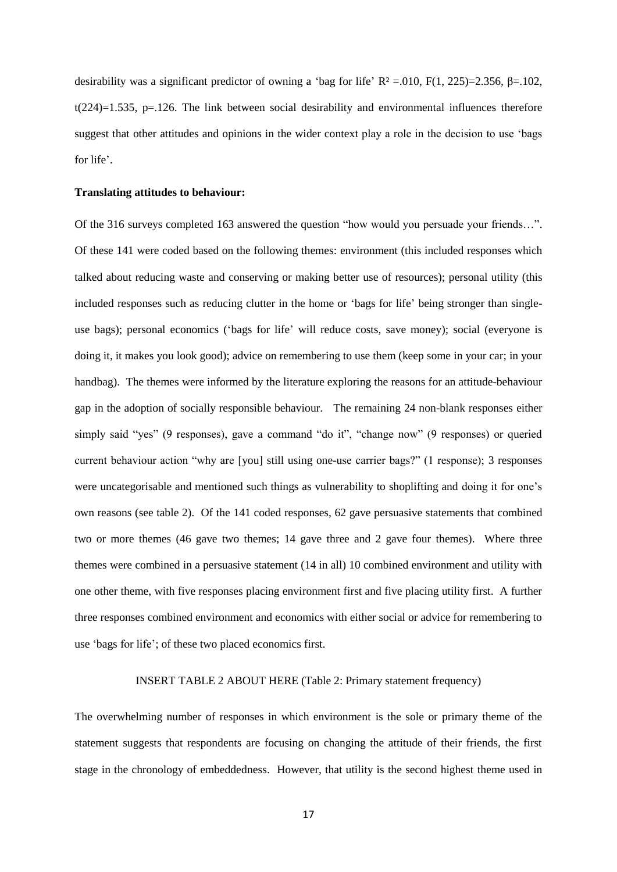desirability was a significant predictor of owning a 'bag for life'  $R^2 = 0.010$ ,  $F(1, 225)=2.356$ ,  $\beta = 102$ , t(224)=1.535, p=.126. The link between social desirability and environmental influences therefore suggest that other attitudes and opinions in the wider context play a role in the decision to use 'bags for life'.

## **Translating attitudes to behaviour:**

Of the 316 surveys completed 163 answered the question "how would you persuade your friends…". Of these 141 were coded based on the following themes: environment (this included responses which talked about reducing waste and conserving or making better use of resources); personal utility (this included responses such as reducing clutter in the home or 'bags for life' being stronger than singleuse bags); personal economics ('bags for life' will reduce costs, save money); social (everyone is doing it, it makes you look good); advice on remembering to use them (keep some in your car; in your handbag). The themes were informed by the literature exploring the reasons for an attitude-behaviour gap in the adoption of socially responsible behaviour. The remaining 24 non-blank responses either simply said "yes" (9 responses), gave a command "do it", "change now" (9 responses) or queried current behaviour action "why are [you] still using one-use carrier bags?" (1 response); 3 responses were uncategorisable and mentioned such things as vulnerability to shoplifting and doing it for one's own reasons (see table 2). Of the 141 coded responses, 62 gave persuasive statements that combined two or more themes (46 gave two themes; 14 gave three and 2 gave four themes). Where three themes were combined in a persuasive statement (14 in all) 10 combined environment and utility with one other theme, with five responses placing environment first and five placing utility first. A further three responses combined environment and economics with either social or advice for remembering to use 'bags for life'; of these two placed economics first.

#### INSERT TABLE 2 ABOUT HERE (Table 2: Primary statement frequency)

The overwhelming number of responses in which environment is the sole or primary theme of the statement suggests that respondents are focusing on changing the attitude of their friends, the first stage in the chronology of embeddedness. However, that utility is the second highest theme used in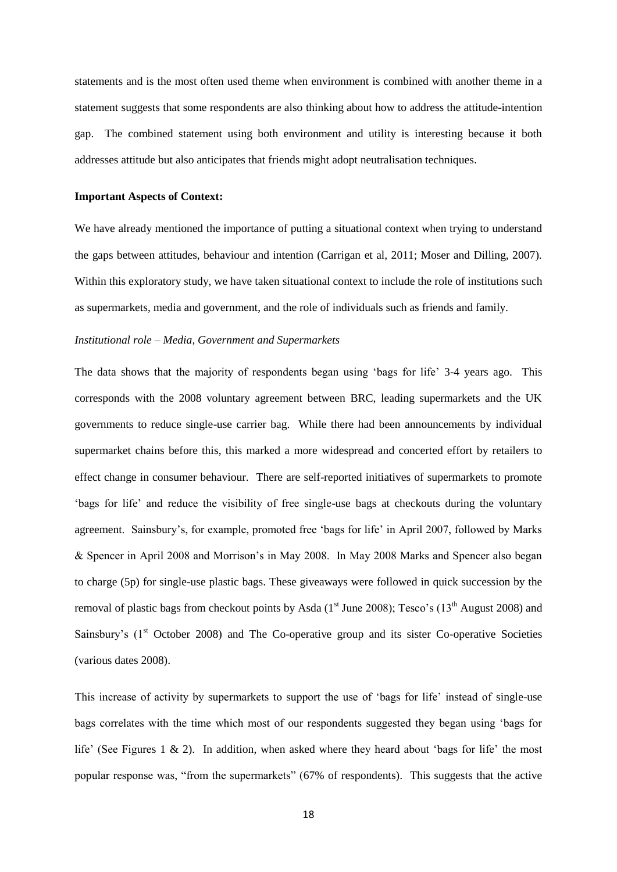statements and is the most often used theme when environment is combined with another theme in a statement suggests that some respondents are also thinking about how to address the attitude-intention gap. The combined statement using both environment and utility is interesting because it both addresses attitude but also anticipates that friends might adopt neutralisation techniques.

#### **Important Aspects of Context:**

We have already mentioned the importance of putting a situational context when trying to understand the gaps between attitudes, behaviour and intention (Carrigan et al, 2011; Moser and Dilling, 2007). Within this exploratory study, we have taken situational context to include the role of institutions such as supermarkets, media and government, and the role of individuals such as friends and family.

#### *Institutional role – Media, Government and Supermarkets*

The data shows that the majority of respondents began using 'bags for life' 3-4 years ago. This corresponds with the 2008 voluntary agreement between BRC, leading supermarkets and the UK governments to reduce single-use carrier bag. While there had been announcements by individual supermarket chains before this, this marked a more widespread and concerted effort by retailers to effect change in consumer behaviour. There are self-reported initiatives of supermarkets to promote 'bags for life' and reduce the visibility of free single-use bags at checkouts during the voluntary agreement. Sainsbury's, for example, promoted free 'bags for life' in April 2007, followed by Marks & Spencer in April 2008 and Morrison's in May 2008. In May 2008 Marks and Spencer also began to charge (5p) for single-use plastic bags. These giveaways were followed in quick succession by the removal of plastic bags from checkout points by Asda  $(1<sup>st</sup>$  June 2008); Tesco's  $(13<sup>th</sup>$  August 2008) and Sainsbury's (1<sup>st</sup> October 2008) and The Co-operative group and its sister Co-operative Societies (various dates 2008).

This increase of activity by supermarkets to support the use of 'bags for life' instead of single-use bags correlates with the time which most of our respondents suggested they began using 'bags for life' (See Figures 1 & 2). In addition, when asked where they heard about 'bags for life' the most popular response was, "from the supermarkets" (67% of respondents). This suggests that the active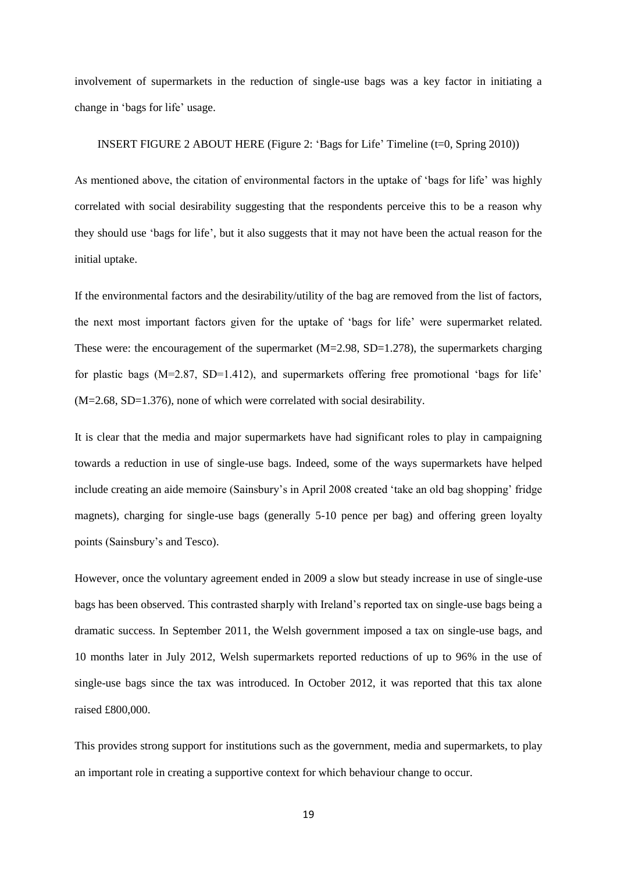involvement of supermarkets in the reduction of single-use bags was a key factor in initiating a change in 'bags for life' usage.

## INSERT FIGURE 2 ABOUT HERE (Figure 2: 'Bags for Life' Timeline (t=0, Spring 2010))

As mentioned above, the citation of environmental factors in the uptake of 'bags for life' was highly correlated with social desirability suggesting that the respondents perceive this to be a reason why they should use 'bags for life', but it also suggests that it may not have been the actual reason for the initial uptake.

If the environmental factors and the desirability/utility of the bag are removed from the list of factors, the next most important factors given for the uptake of 'bags for life' were supermarket related. These were: the encouragement of the supermarket (M=2.98, SD=1.278), the supermarkets charging for plastic bags (M=2.87, SD=1.412), and supermarkets offering free promotional 'bags for life' (M=2.68, SD=1.376), none of which were correlated with social desirability.

It is clear that the media and major supermarkets have had significant roles to play in campaigning towards a reduction in use of single-use bags. Indeed, some of the ways supermarkets have helped include creating an aide memoire (Sainsbury's in April 2008 created 'take an old bag shopping' fridge magnets), charging for single-use bags (generally 5-10 pence per bag) and offering green loyalty points (Sainsbury's and Tesco).

However, once the voluntary agreement ended in 2009 a slow but steady increase in use of single-use bags has been observed. This contrasted sharply with Ireland's reported tax on single-use bags being a dramatic success. In September 2011, the Welsh government imposed a tax on single-use bags, and 10 months later in July 2012, Welsh supermarkets reported reductions of up to 96% in the use of single-use bags since the tax was introduced. In October 2012, it was reported that this tax alone raised £800,000.

This provides strong support for institutions such as the government, media and supermarkets, to play an important role in creating a supportive context for which behaviour change to occur.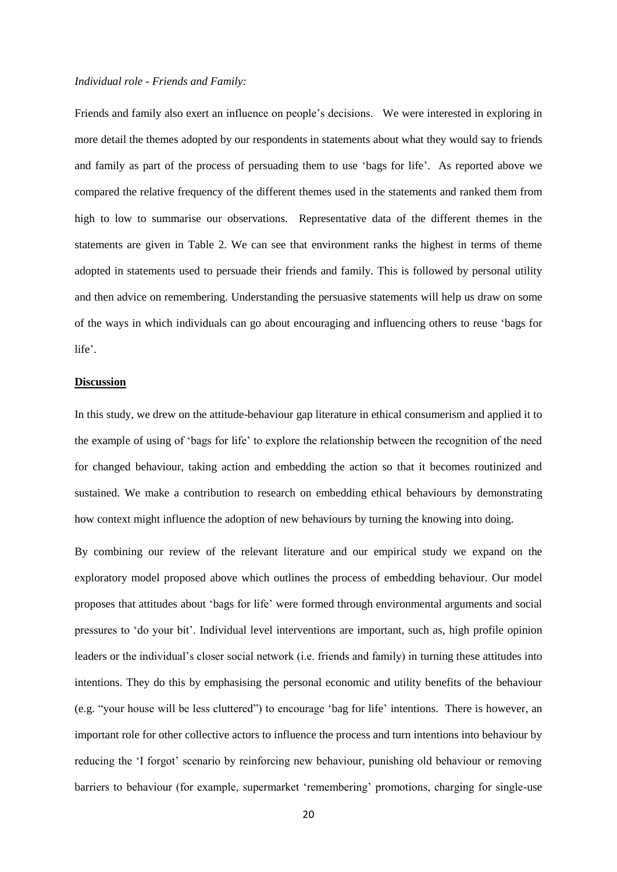#### *Individual role - Friends and Family:*

Friends and family also exert an influence on people's decisions. We were interested in exploring in more detail the themes adopted by our respondents in statements about what they would say to friends and family as part of the process of persuading them to use 'bags for life'. As reported above we compared the relative frequency of the different themes used in the statements and ranked them from high to low to summarise our observations. Representative data of the different themes in the statements are given in Table 2. We can see that environment ranks the highest in terms of theme adopted in statements used to persuade their friends and family. This is followed by personal utility and then advice on remembering. Understanding the persuasive statements will help us draw on some of the ways in which individuals can go about encouraging and influencing others to reuse 'bags for life'.

## **Discussion**

In this study, we drew on the attitude-behaviour gap literature in ethical consumerism and applied it to the example of using of 'bags for life' to explore the relationship between the recognition of the need for changed behaviour, taking action and embedding the action so that it becomes routinized and sustained. We make a contribution to research on embedding ethical behaviours by demonstrating how context might influence the adoption of new behaviours by turning the knowing into doing.

By combining our review of the relevant literature and our empirical study we expand on the exploratory model proposed above which outlines the process of embedding behaviour. Our model proposes that attitudes about 'bags for life' were formed through environmental arguments and social pressures to 'do your bit'. Individual level interventions are important, such as, high profile opinion leaders or the individual's closer social network (i.e. friends and family) in turning these attitudes into intentions. They do this by emphasising the personal economic and utility benefits of the behaviour (e.g. "your house will be less cluttered") to encourage 'bag for life' intentions. There is however, an important role for other collective actors to influence the process and turn intentions into behaviour by reducing the 'I forgot' scenario by reinforcing new behaviour, punishing old behaviour or removing barriers to behaviour (for example, supermarket 'remembering' promotions, charging for single-use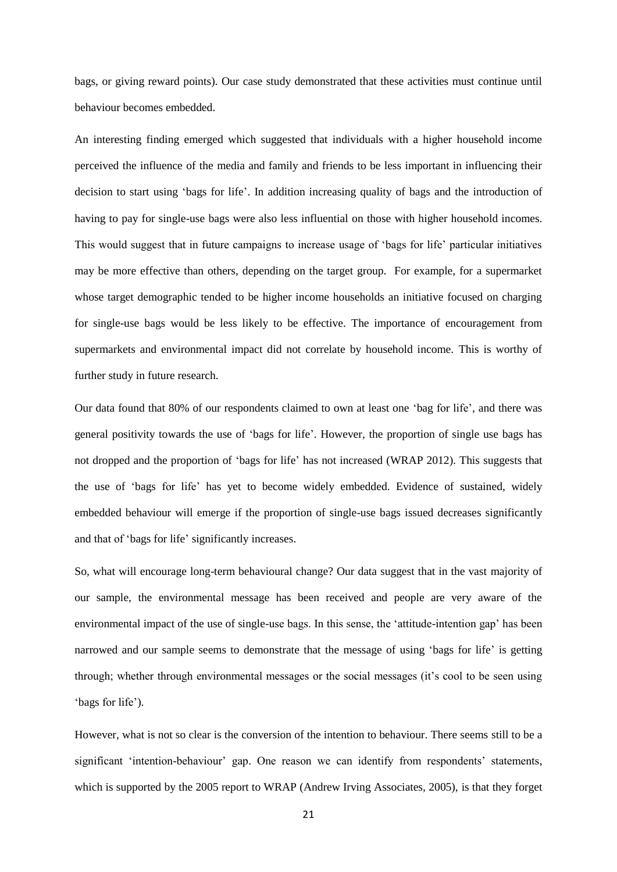bags, or giving reward points). Our case study demonstrated that these activities must continue until behaviour becomes embedded.

An interesting finding emerged which suggested that individuals with a higher household income perceived the influence of the media and family and friends to be less important in influencing their decision to start using 'bags for life'. In addition increasing quality of bags and the introduction of having to pay for single-use bags were also less influential on those with higher household incomes. This would suggest that in future campaigns to increase usage of 'bags for life' particular initiatives may be more effective than others, depending on the target group. For example, for a supermarket whose target demographic tended to be higher income households an initiative focused on charging for single-use bags would be less likely to be effective. The importance of encouragement from supermarkets and environmental impact did not correlate by household income. This is worthy of further study in future research.

Our data found that 80% of our respondents claimed to own at least one 'bag for life', and there was general positivity towards the use of 'bags for life'. However, the proportion of single use bags has not dropped and the proportion of 'bags for life' has not increased (WRAP 2012). This suggests that the use of 'bags for life' has yet to become widely embedded. Evidence of sustained, widely embedded behaviour will emerge if the proportion of single-use bags issued decreases significantly and that of 'bags for life' significantly increases.

So, what will encourage long-term behavioural change? Our data suggest that in the vast majority of our sample, the environmental message has been received and people are very aware of the environmental impact of the use of single-use bags. In this sense, the 'attitude-intention gap' has been narrowed and our sample seems to demonstrate that the message of using 'bags for life' is getting through; whether through environmental messages or the social messages (it's cool to be seen using 'bags for life').

However, what is not so clear is the conversion of the intention to behaviour. There seems still to be a significant 'intention-behaviour' gap. One reason we can identify from respondents' statements, which is supported by the 2005 report to WRAP (Andrew Irving Associates, 2005), is that they forget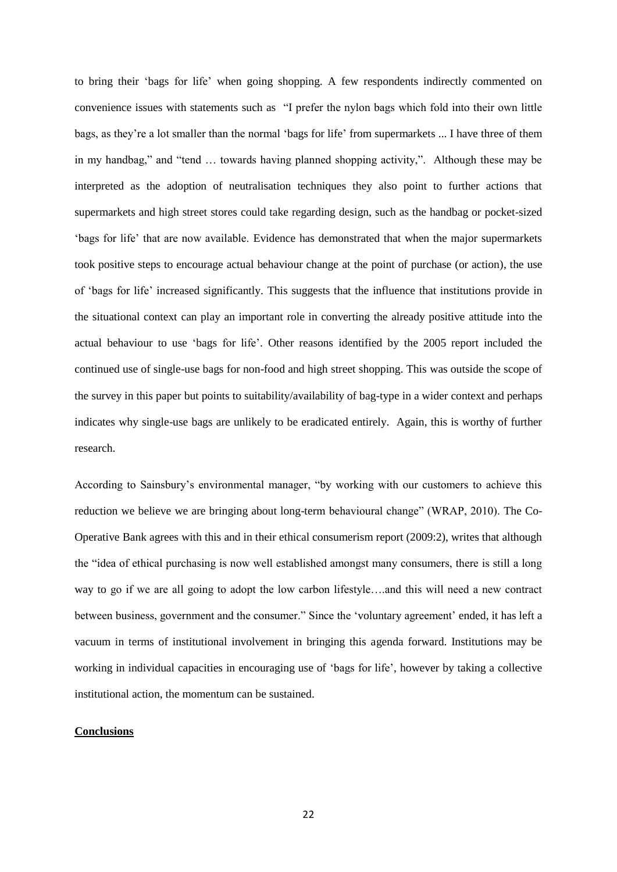to bring their 'bags for life' when going shopping. A few respondents indirectly commented on convenience issues with statements such as "I prefer the nylon bags which fold into their own little bags, as they're a lot smaller than the normal 'bags for life' from supermarkets ... I have three of them in my handbag," and "tend … towards having planned shopping activity,". Although these may be interpreted as the adoption of neutralisation techniques they also point to further actions that supermarkets and high street stores could take regarding design, such as the handbag or pocket-sized 'bags for life' that are now available. Evidence has demonstrated that when the major supermarkets took positive steps to encourage actual behaviour change at the point of purchase (or action), the use of 'bags for life' increased significantly. This suggests that the influence that institutions provide in the situational context can play an important role in converting the already positive attitude into the actual behaviour to use 'bags for life'. Other reasons identified by the 2005 report included the continued use of single-use bags for non-food and high street shopping. This was outside the scope of the survey in this paper but points to suitability/availability of bag-type in a wider context and perhaps indicates why single-use bags are unlikely to be eradicated entirely. Again, this is worthy of further research.

According to Sainsbury's environmental manager, "by working with our customers to achieve this reduction we believe we are bringing about long-term behavioural change" (WRAP, 2010). The Co-Operative Bank agrees with this and in their ethical consumerism report (2009:2), writes that although the "idea of ethical purchasing is now well established amongst many consumers, there is still a long way to go if we are all going to adopt the low carbon lifestyle….and this will need a new contract between business, government and the consumer." Since the 'voluntary agreement' ended, it has left a vacuum in terms of institutional involvement in bringing this agenda forward. Institutions may be working in individual capacities in encouraging use of 'bags for life', however by taking a collective institutional action, the momentum can be sustained.

#### **Conclusions**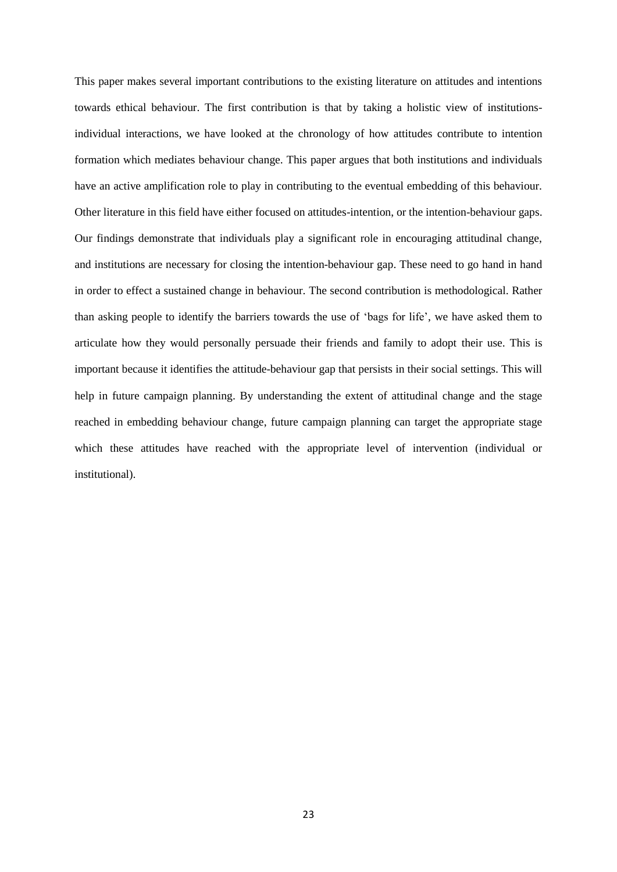This paper makes several important contributions to the existing literature on attitudes and intentions towards ethical behaviour. The first contribution is that by taking a holistic view of institutionsindividual interactions, we have looked at the chronology of how attitudes contribute to intention formation which mediates behaviour change. This paper argues that both institutions and individuals have an active amplification role to play in contributing to the eventual embedding of this behaviour. Other literature in this field have either focused on attitudes-intention, or the intention-behaviour gaps. Our findings demonstrate that individuals play a significant role in encouraging attitudinal change, and institutions are necessary for closing the intention-behaviour gap. These need to go hand in hand in order to effect a sustained change in behaviour. The second contribution is methodological. Rather than asking people to identify the barriers towards the use of 'bags for life', we have asked them to articulate how they would personally persuade their friends and family to adopt their use. This is important because it identifies the attitude-behaviour gap that persists in their social settings. This will help in future campaign planning. By understanding the extent of attitudinal change and the stage reached in embedding behaviour change, future campaign planning can target the appropriate stage which these attitudes have reached with the appropriate level of intervention (individual or institutional).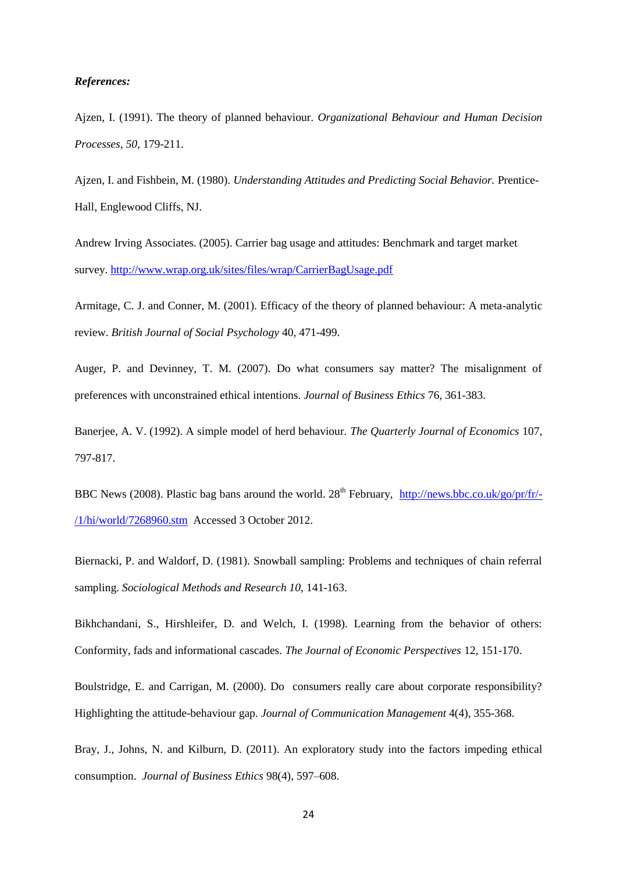#### *References:*

Ajzen, I. (1991). The theory of planned behaviour. *Organizational Behaviour and Human Decision Processes, 50,* 179-211.

Ajzen, I. and Fishbein, M. (1980). *Understanding Attitudes and Predicting Social Behavior.* Prentice-Hall, Englewood Cliffs, NJ.

Andrew Irving Associates. (2005). Carrier bag usage and attitudes: Benchmark and target market survey.<http://www.wrap.org.uk/sites/files/wrap/CarrierBagUsage.pdf>

Armitage, C. J. and Conner, M. (2001). Efficacy of the theory of planned behaviour: A meta-analytic review. *British Journal of Social Psychology* 40, 471-499.

Auger, P. and Devinney, T. M. (2007). Do what consumers say matter? The misalignment of preferences with unconstrained ethical intentions. *Journal of Business Ethics* 76, 361-383.

Banerjee, A. V. (1992). A simple model of herd behaviour. *The Quarterly Journal of Economics* 107, 797-817.

BBC News (2008). Plastic bag bans around the world.  $28^{th}$  February, [http://news.bbc.co.uk/go/pr/fr/-](http://news.bbc.co.uk/go/pr/fr/-/1/hi/world/7268960.stm) [/1/hi/world/7268960.stm](http://news.bbc.co.uk/go/pr/fr/-/1/hi/world/7268960.stm) Accessed 3 October 2012.

Biernacki, P. and Waldorf, D. (1981). Snowball sampling: Problems and techniques of chain referral sampling. *Sociological Methods and Research 10,* 141-163.

Bikhchandani, S., Hirshleifer, D. and Welch, I. (1998). Learning from the behavior of others: Conformity, fads and informational cascades. *The Journal of Economic Perspectives* 12, 151-170.

Boulstridge, E. and Carrigan, M. (2000). Do consumers really care about corporate responsibility? Highlighting the attitude-behaviour gap. *Journal of Communication Management* 4(4), 355-368.

Bray, J., Johns, N. and Kilburn, D. (2011). An exploratory study into the factors impeding ethical consumption. *Journal of Business Ethics* 98(4), 597–608.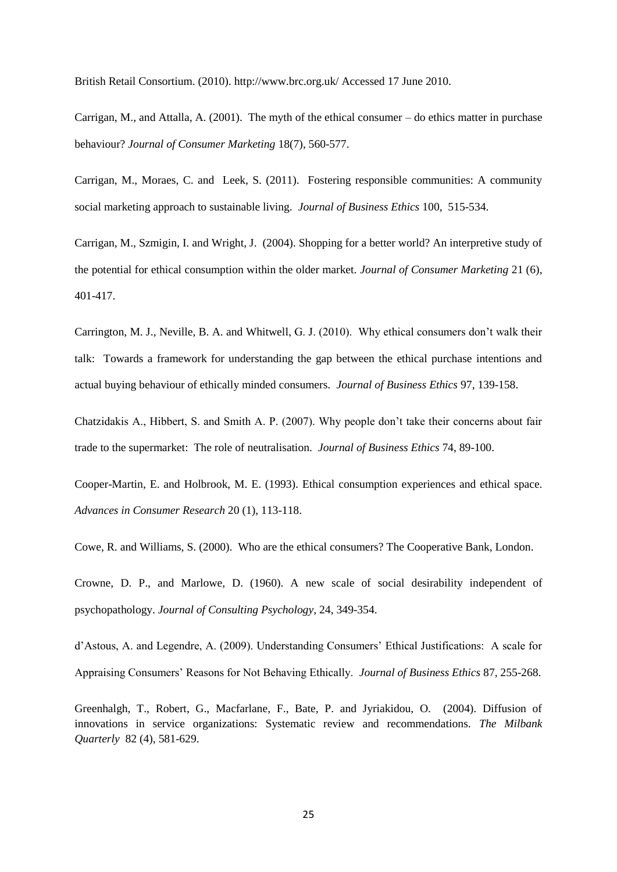British Retail Consortium. (2010). http://www.brc.org.uk/ Accessed 17 June 2010.

Carrigan, M., and Attalla, A. (2001). The myth of the ethical consumer – do ethics matter in purchase behaviour? *Journal of Consumer Marketing* 18(7), 560-577.

Carrigan, M., Moraes, C. and Leek, S. (2011). Fostering responsible communities: A community social marketing approach to sustainable living. *Journal of Business Ethics* 100, 515-534.

Carrigan, M., Szmigin, I. and Wright, J. (2004). Shopping for a better world? An interpretive study of the potential for ethical consumption within the older market. *Journal of Consumer Marketing* 21 (6), 401-417.

Carrington, M. J., Neville, B. A. and Whitwell, G. J. (2010). Why ethical consumers don't walk their talk: Towards a framework for understanding the gap between the ethical purchase intentions and actual buying behaviour of ethically minded consumers. *Journal of Business Ethics* 97, 139-158.

Chatzidakis A., Hibbert, S. and Smith A. P. (2007). Why people don't take their concerns about fair trade to the supermarket: The role of neutralisation. *Journal of Business Ethics* 74, 89-100.

Cooper-Martin, E. and Holbrook, M. E. (1993). Ethical consumption experiences and ethical space. *Advances in Consumer Research* 20 (1), 113-118.

Cowe, R. and Williams, S. (2000). Who are the ethical consumers? The Cooperative Bank, London.

Crowne, D. P., and Marlowe, D. (1960). A new scale of social desirability independent of psychopathology. *Journal of Consulting Psychology*, 24, 349-354.

d'Astous, A. and Legendre, A. (2009). Understanding Consumers' Ethical Justifications: A scale for Appraising Consumers' Reasons for Not Behaving Ethically. *Journal of Business Ethics* 87, 255-268.

Greenhalgh, T., Robert, G., Macfarlane, F., Bate, P. and Jyriakidou, O. (2004). Diffusion of innovations in service organizations: Systematic review and recommendations. *The Milbank Quarterly* 82 (4), 581-629.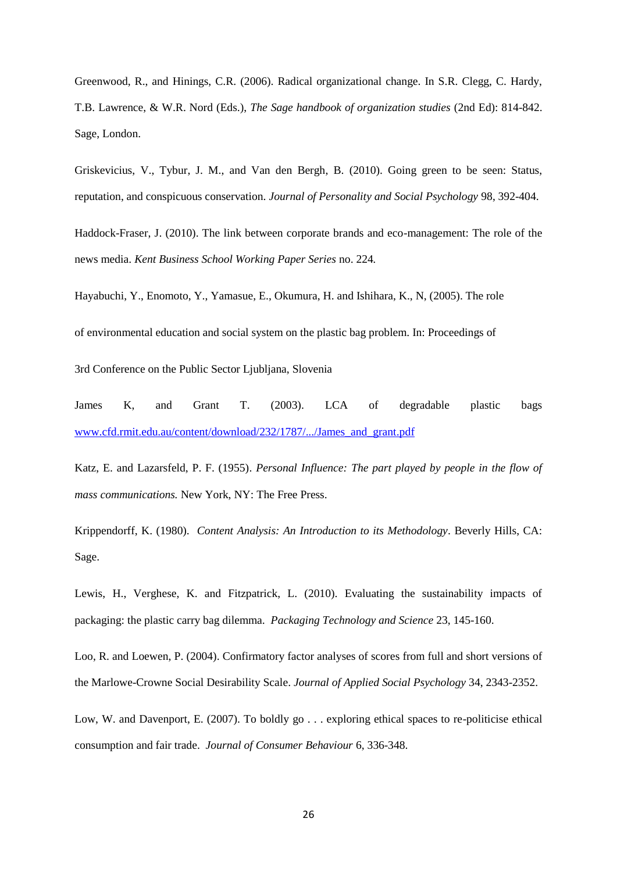Greenwood, R., and Hinings, C.R. (2006). Radical organizational change. In S.R. Clegg, C. Hardy, T.B. Lawrence, & W.R. Nord (Eds.), *The Sage handbook of organization studies* (2nd Ed): 814-842. Sage, London.

Griskevicius, V., Tybur, J. M., and Van den Bergh, B. (2010). Going green to be seen: Status, reputation, and conspicuous conservation. *Journal of Personality and Social Psychology* 98, 392-404.

Haddock-Fraser, J. (2010). The link between corporate brands and eco-management: The role of the news media. *Kent Business School Working Paper Series* no. 224*.* 

Hayabuchi, Y., Enomoto, Y., Yamasue, E., Okumura, H. and Ishihara, K., N, (2005). The role

of environmental education and social system on the plastic bag problem. In: Proceedings of

3rd Conference on the Public Sector Ljubljana, Slovenia

James K, and Grant T. (2003). LCA of degradable plastic bags [www.cfd.rmit.edu.au/content/download/232/1787/.../James\\_and\\_grant.pdf](http://www.cfd.rmit.edu.au/content/download/232/1787/.../James_and_grant.pdf)

Katz, E. and Lazarsfeld, P. F. (1955). *Personal Influence: The part played by people in the flow of mass communications.* New York, NY: The Free Press.

Krippendorff, K. (1980). *Content Analysis: An Introduction to its Methodology*. Beverly Hills, CA: Sage.

Lewis, H., Verghese, K. and Fitzpatrick, L. (2010). Evaluating the sustainability impacts of packaging: the plastic carry bag dilemma. *Packaging Technology and Science* 23, 145-160.

Loo, R. and Loewen, P. (2004). Confirmatory factor analyses of scores from full and short versions of the Marlowe-Crowne Social Desirability Scale. *Journal of Applied Social Psychology* 34, 2343-2352.

Low, W. and Davenport, E. (2007). To boldly go . . . exploring ethical spaces to re-politicise ethical consumption and fair trade. *Journal of Consumer Behaviour* 6, 336-348.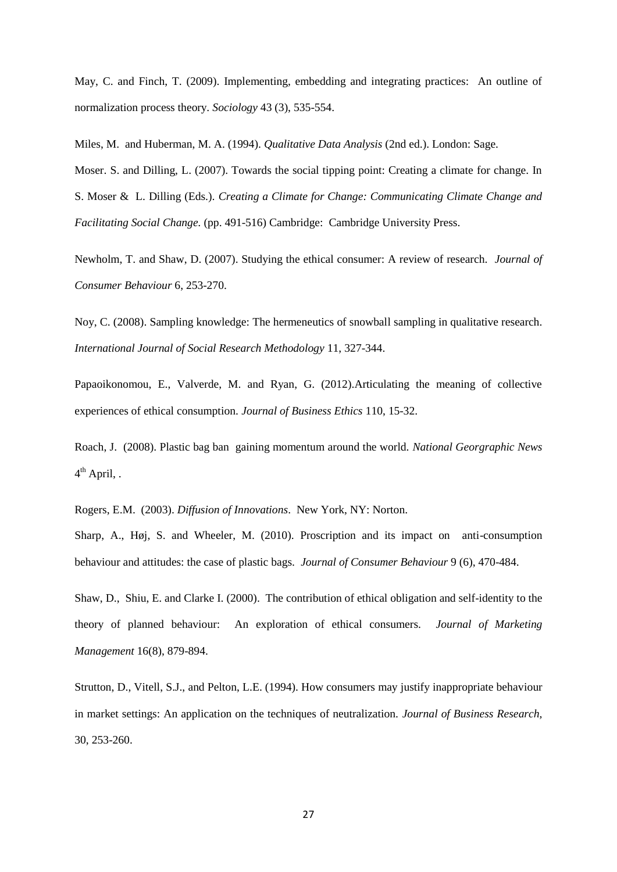May, C. and Finch, T. (2009). Implementing, embedding and integrating practices: An outline of normalization process theory. *Sociology* 43 (3), 535-554.

Miles, M. and Huberman, M. A. (1994). *Qualitative Data Analysis* (2nd ed.). London: Sage.

Moser. S. and Dilling, L. (2007). Towards the social tipping point: Creating a climate for change. In S. Moser & L. Dilling (Eds.)*. Creating a Climate for Change: Communicating Climate Change and Facilitating Social Change.* (pp. 491-516) Cambridge: Cambridge University Press.

Newholm, T. and Shaw, D. (2007). Studying the ethical consumer: A review of research. *Journal of Consumer Behaviour* 6, 253-270.

Noy, C. (2008). Sampling knowledge: The hermeneutics of snowball sampling in qualitative research. *International Journal of Social Research Methodology* 11, 327-344.

Papaoikonomou, E., Valverde, M. and Ryan, G. (2012).Articulating the meaning of collective experiences of ethical consumption. *Journal of Business Ethics* 110, 15-32.

Roach, J. (2008). Plastic bag ban gaining momentum around the world. *National Georgraphic News* 4<sup>th</sup> April, .

Rogers, E.M. (2003). *Diffusion of Innovations*. New York, NY: Norton.

Sharp, A., Høj, S. and Wheeler, M. (2010). Proscription and its impact on anti-consumption behaviour and attitudes: the case of plastic bags. *Journal of Consumer Behaviour* 9 (6), 470-484.

Shaw, D., Shiu, E. and Clarke I. (2000). The contribution of ethical obligation and self-identity to the theory of planned behaviour: An exploration of ethical consumers. *Journal of Marketing Management* 16(8), 879-894.

Strutton, D., Vitell, S.J., and Pelton, L.E. (1994). How consumers may justify inappropriate behaviour in market settings: An application on the techniques of neutralization. *Journal of Business Research,*  30, 253-260.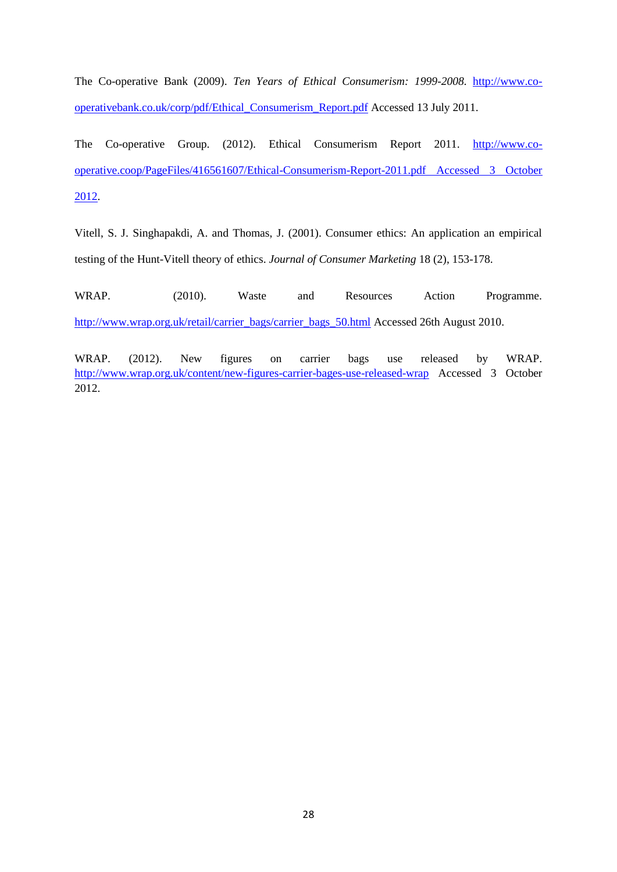The Co-operative Bank (2009). *Ten Years of Ethical Consumerism: 1999-2008.* [http://www.co](http://www.co-operativebank.co.uk/corp/pdf/Ethical_Consumerism_Report.pdf)[operativebank.co.uk/corp/pdf/Ethical\\_Consumerism\\_Report.pdf](http://www.co-operativebank.co.uk/corp/pdf/Ethical_Consumerism_Report.pdf) Accessed 13 July 2011.

The Co-operative Group. (2012). Ethical Consumerism Report 2011. [http://www.co](http://www.co-operative.coop/PageFiles/416561607/Ethical-Consumerism-Report-2011.pdf%20Accessed%203%20October%202012)[operative.coop/PageFiles/416561607/Ethical-Consumerism-Report-2011.pdf Accessed 3 October](http://www.co-operative.coop/PageFiles/416561607/Ethical-Consumerism-Report-2011.pdf%20Accessed%203%20October%202012)  [2012.](http://www.co-operative.coop/PageFiles/416561607/Ethical-Consumerism-Report-2011.pdf%20Accessed%203%20October%202012)

Vitell, S. J. Singhapakdi, A. and Thomas, J. (2001). Consumer ethics: An application an empirical testing of the Hunt-Vitell theory of ethics. *Journal of Consumer Marketing* 18 (2), 153-178.

WRAP. (2010). Waste and Resources Action Programme. [http://www.wrap.org.uk/retail/carrier\\_bags/carrier\\_bags\\_50.html](http://www.wrap.org.uk/retail/carrier_bags/carrier_bags_50.html) Accessed 26th August 2010.

WRAP. (2012). New figures on carrier bags use released by WRAP. <http://www.wrap.org.uk/content/new-figures-carrier-bages-use-released-wrap> Accessed 3 October 2012.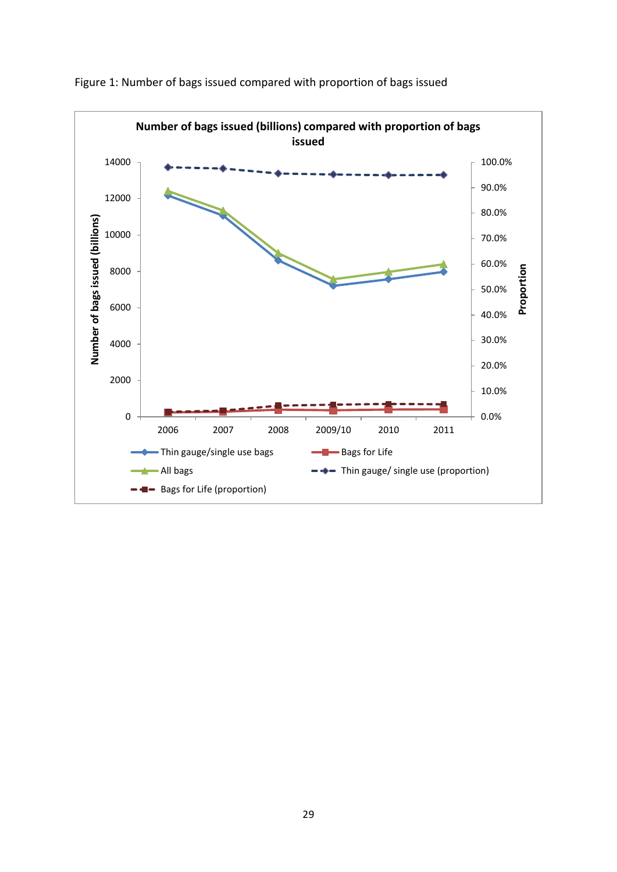

Figure 1: Number of bags issued compared with proportion of bags issued